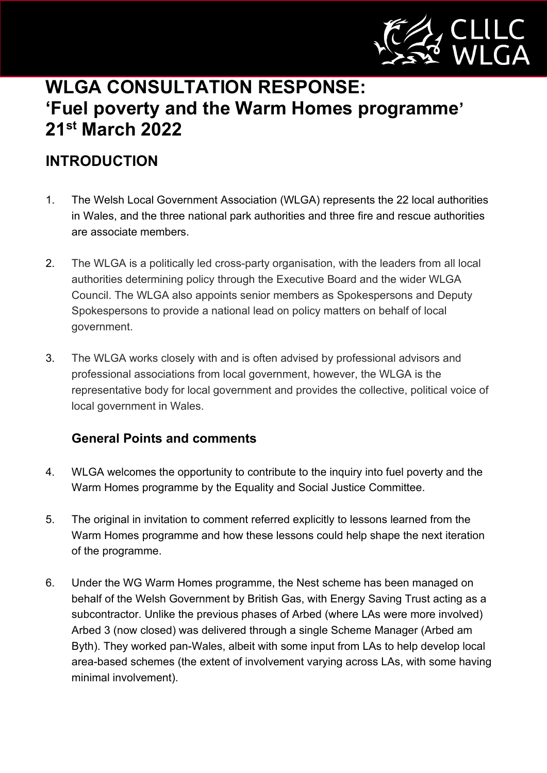

# **WLGA CONSULTATION RESPONSE: 'Fuel poverty and the Warm Homes programme' 21st March 2022**

# **INTRODUCTION**

- 1. The Welsh Local Government Association (WLGA) represents the 22 local authorities in Wales, and the three national park authorities and three fire and rescue authorities are associate members.
- 2. The WLGA is a politically led cross-party organisation, with the leaders from all local authorities determining policy through the Executive Board and the wider WLGA Council. The WLGA also appoints senior members as Spokespersons and Deputy Spokespersons to provide a national lead on policy matters on behalf of local government.
- 3. The WLGA works closely with and is often advised by professional advisors and professional associations from local government, however, the WLGA is the representative body for local government and provides the collective, political voice of local government in Wales.

# **General Points and comments**

- 4. WLGA welcomes the opportunity to contribute to the inquiry into fuel poverty and the Warm Homes programme by the Equality and Social Justice Committee.
- 5. The original in invitation to comment referred explicitly to lessons learned from the Warm Homes programme and how these lessons could help shape the next iteration of the programme.
- 6. Under the WG Warm Homes programme, the Nest scheme has been managed on behalf of the Welsh Government by British Gas, with Energy Saving Trust acting as a subcontractor. Unlike the previous phases of Arbed (where LAs were more involved) Arbed 3 (now closed) was delivered through a single Scheme Manager (Arbed am Byth). They worked pan-Wales, albeit with some input from LAs to help develop local area-based schemes (the extent of involvement varying across LAs, with some having minimal involvement).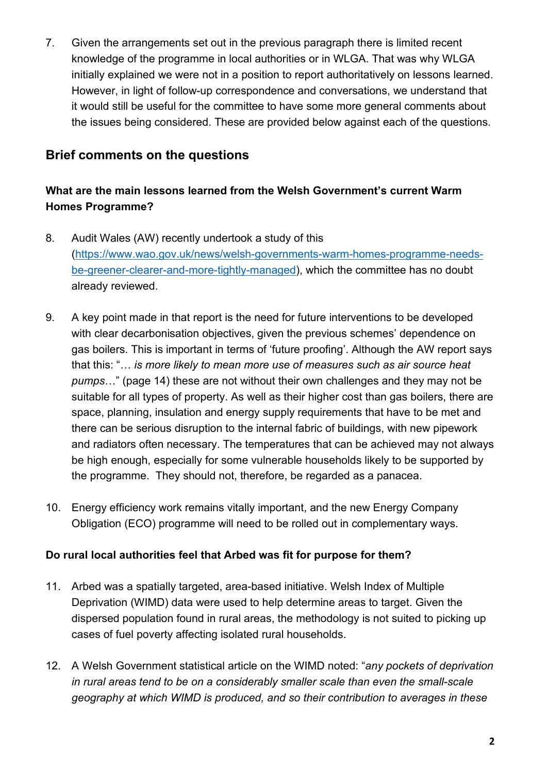7. Given the arrangements set out in the previous paragraph there is limited recent knowledge of the programme in local authorities or in WLGA. That was why WLGA initially explained we were not in a position to report authoritatively on lessons learned. However, in light of follow-up correspondence and conversations, we understand that it would still be useful for the committee to have some more general comments about the issues being considered. These are provided below against each of the questions.

# **Brief comments on the questions**

# **What are the main lessons learned from the Welsh Government's current Warm Homes Programme?**

- 8. Audit Wales (AW) recently undertook a study of this [\(https://www.wao.gov.uk/news/welsh-governments-warm-homes-programme-needs](https://www.wao.gov.uk/news/welsh-governments-warm-homes-programme-needs-be-greener-clearer-and-more-tightly-managed)[be-greener-clearer-and-more-tightly-managed\)](https://www.wao.gov.uk/news/welsh-governments-warm-homes-programme-needs-be-greener-clearer-and-more-tightly-managed), which the committee has no doubt already reviewed.
- 9. A key point made in that report is the need for future interventions to be developed with clear decarbonisation objectives, given the previous schemes' dependence on gas boilers. This is important in terms of 'future proofing'. Although the AW report says that this: "… *is more likely to mean more use of measures such as air source heat pumps*…" (page 14) these are not without their own challenges and they may not be suitable for all types of property. As well as their higher cost than gas boilers, there are space, planning, insulation and energy supply requirements that have to be met and there can be serious disruption to the internal fabric of buildings, with new pipework and radiators often necessary. The temperatures that can be achieved may not always be high enough, especially for some vulnerable households likely to be supported by the programme. They should not, therefore, be regarded as a panacea.
- 10. Energy efficiency work remains vitally important, and the new Energy Company Obligation (ECO) programme will need to be rolled out in complementary ways.

#### **Do rural local authorities feel that Arbed was fit for purpose for them?**

- 11. Arbed was a spatially targeted, area-based initiative. Welsh Index of Multiple Deprivation (WIMD) data were used to help determine areas to target. Given the dispersed population found in rural areas, the methodology is not suited to picking up cases of fuel poverty affecting isolated rural households.
- 12. A Welsh Government statistical article on the WIMD noted: "*any pockets of deprivation in rural areas tend to be on a considerably smaller scale than even the small-scale geography at which WIMD is produced, and so their contribution to averages in these*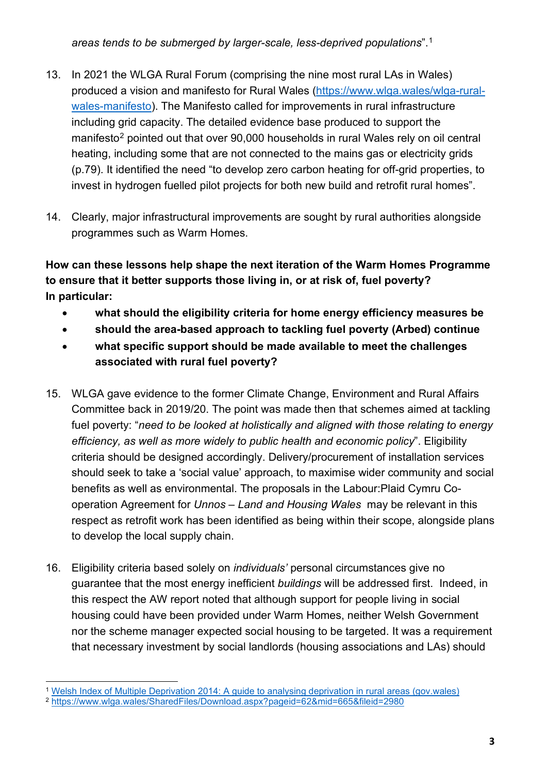*areas tends to be submerged by larger-scale, less-deprived populations*".[1](#page-2-0)

- 13. In 2021 the WLGA Rural Forum (comprising the nine most rural LAs in Wales) produced a vision and manifesto for Rural Wales [\(https://www.wlga.wales/wlga-rural](https://www.wlga.wales/wlga-rural-wales-manifesto)[wales-manifesto\)](https://www.wlga.wales/wlga-rural-wales-manifesto). The Manifesto called for improvements in rural infrastructure including grid capacity. The detailed evidence base produced to support the manifesto<sup>[2](#page-2-1)</sup> pointed out that over 90,000 households in rural Wales rely on oil central heating, including some that are not connected to the mains gas or electricity grids (p.79). It identified the need "to develop zero carbon heating for off-grid properties, to invest in hydrogen fuelled pilot projects for both new build and retrofit rural homes".
- 14. Clearly, major infrastructural improvements are sought by rural authorities alongside programmes such as Warm Homes.

**How can these lessons help shape the next iteration of the Warm Homes Programme to ensure that it better supports those living in, or at risk of, fuel poverty? In particular:** 

- **what should the eligibility criteria for home energy efficiency measures be**
- **should the area-based approach to tackling fuel poverty (Arbed) continue**
- **what specific support should be made available to meet the challenges associated with rural fuel poverty?**
- 15. WLGA gave evidence to the former Climate Change, Environment and Rural Affairs Committee back in 2019/20. The point was made then that schemes aimed at tackling fuel poverty: "*need to be looked at holistically and aligned with those relating to energy efficiency, as well as more widely to public health and economic policy*". Eligibility criteria should be designed accordingly. Delivery/procurement of installation services should seek to take a 'social value' approach, to maximise wider community and social benefits as well as environmental. The proposals in the Labour:Plaid Cymru Cooperation Agreement for *Unnos* – *Land and Housing Wales* may be relevant in this respect as retrofit work has been identified as being within their scope, alongside plans to develop the local supply chain.
- 16. Eligibility criteria based solely on *individuals'* personal circumstances give no guarantee that the most energy inefficient *buildings* will be addressed first. Indeed, in this respect the AW report noted that although support for people living in social housing could have been provided under Warm Homes, neither Welsh Government nor the scheme manager expected social housing to be targeted. It was a requirement that necessary investment by social landlords (housing associations and LAs) should

<span id="page-2-0"></span><sup>1</sup> [Welsh Index of Multiple Deprivation 2014: A guide to analysing deprivation in rural areas \(gov.wales\)](https://gov.wales/sites/default/files/statistics-and-research/2019-05/welsh-index-of-multiple-deprivation-2014-a-guide-to-analysing-deprivation-in-rural-areas.pdf)

<span id="page-2-1"></span><sup>2</sup> <https://www.wlga.wales/SharedFiles/Download.aspx?pageid=62&mid=665&fileid=2980>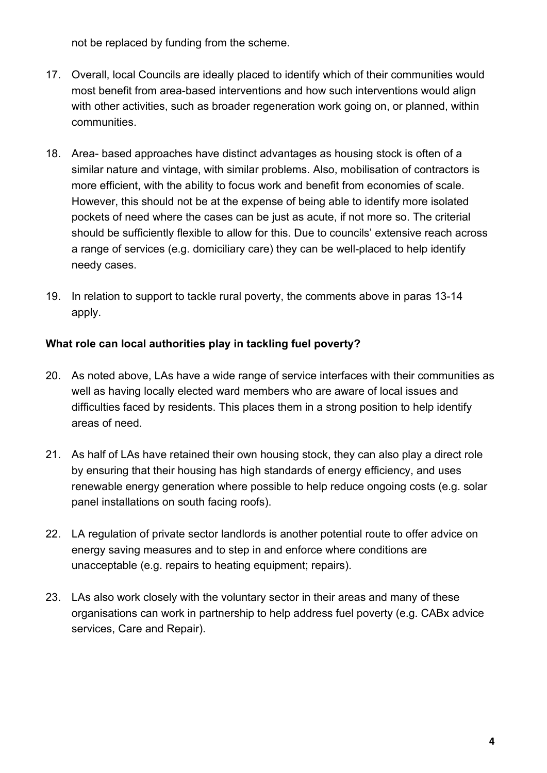not be replaced by funding from the scheme.

- 17. Overall, local Councils are ideally placed to identify which of their communities would most benefit from area-based interventions and how such interventions would align with other activities, such as broader regeneration work going on, or planned, within communities.
- 18. Area- based approaches have distinct advantages as housing stock is often of a similar nature and vintage, with similar problems. Also, mobilisation of contractors is more efficient, with the ability to focus work and benefit from economies of scale. However, this should not be at the expense of being able to identify more isolated pockets of need where the cases can be just as acute, if not more so. The criterial should be sufficiently flexible to allow for this. Due to councils' extensive reach across a range of services (e.g. domiciliary care) they can be well-placed to help identify needy cases.
- 19. In relation to support to tackle rural poverty, the comments above in paras 13-14 apply.

#### **What role can local authorities play in tackling fuel poverty?**

- 20. As noted above, LAs have a wide range of service interfaces with their communities as well as having locally elected ward members who are aware of local issues and difficulties faced by residents. This places them in a strong position to help identify areas of need.
- 21. As half of LAs have retained their own housing stock, they can also play a direct role by ensuring that their housing has high standards of energy efficiency, and uses renewable energy generation where possible to help reduce ongoing costs (e.g. solar panel installations on south facing roofs).
- 22. LA regulation of private sector landlords is another potential route to offer advice on energy saving measures and to step in and enforce where conditions are unacceptable (e.g. repairs to heating equipment; repairs).
- 23. LAs also work closely with the voluntary sector in their areas and many of these organisations can work in partnership to help address fuel poverty (e.g. CABx advice services, Care and Repair).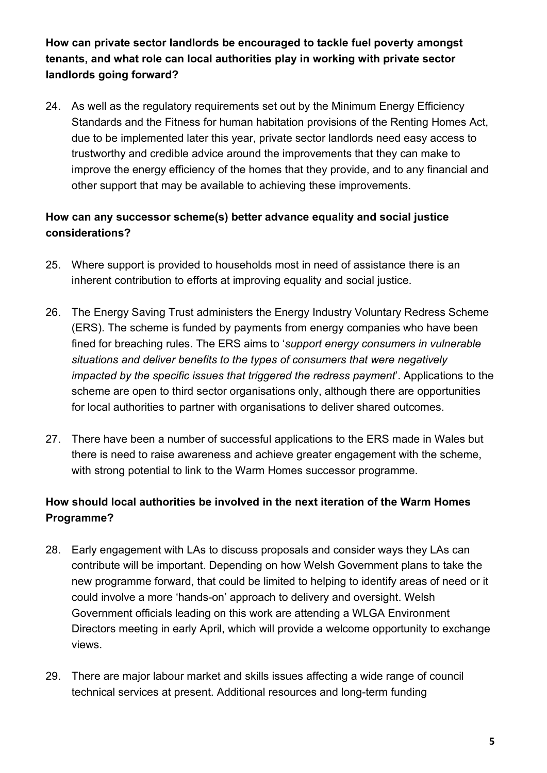**How can private sector landlords be encouraged to tackle fuel poverty amongst tenants, and what role can local authorities play in working with private sector landlords going forward?** 

24. As well as the regulatory requirements set out by the Minimum Energy Efficiency Standards and the Fitness for human habitation provisions of the Renting Homes Act, due to be implemented later this year, private sector landlords need easy access to trustworthy and credible advice around the improvements that they can make to improve the energy efficiency of the homes that they provide, and to any financial and other support that may be available to achieving these improvements.

# **How can any successor scheme(s) better advance equality and social justice considerations?**

- 25. Where support is provided to households most in need of assistance there is an inherent contribution to efforts at improving equality and social justice.
- 26. The Energy Saving Trust administers the Energy Industry Voluntary Redress Scheme (ERS). The scheme is funded by payments from energy companies who have been fined for breaching rules. The ERS aims to '*support energy consumers in vulnerable situations and deliver benefits to the types of consumers that were negatively impacted by the specific issues that triggered the redress payment*'. Applications to the scheme are open to third sector organisations only, although there are opportunities for local authorities to partner with organisations to deliver shared outcomes.
- 27. There have been a number of successful applications to the ERS made in Wales but there is need to raise awareness and achieve greater engagement with the scheme, with strong potential to link to the Warm Homes successor programme.

# **How should local authorities be involved in the next iteration of the Warm Homes Programme?**

- 28. Early engagement with LAs to discuss proposals and consider ways they LAs can contribute will be important. Depending on how Welsh Government plans to take the new programme forward, that could be limited to helping to identify areas of need or it could involve a more 'hands-on' approach to delivery and oversight. Welsh Government officials leading on this work are attending a WLGA Environment Directors meeting in early April, which will provide a welcome opportunity to exchange views.
- 29. There are major labour market and skills issues affecting a wide range of council technical services at present. Additional resources and long-term funding